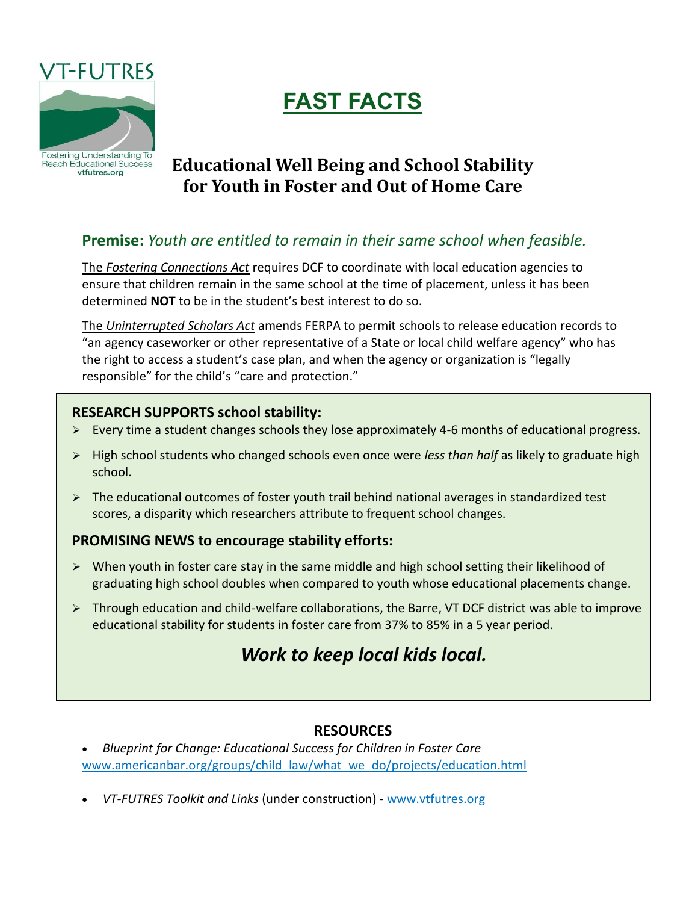

# **FAST FACTS**

# **Educational Well Being and School Stability for Youth in Foster and Out of Home Care**

# **Premise:** *Youth are entitled to remain in their same school when feasible.*

The *Fostering Connections Act* requires DCF to coordinate with local education agencies to ensure that children remain in the same school at the time of placement, unless it has been determined **NOT** to be in the student's best interest to do so.

The *Uninterrupted Scholars Act* amends FERPA to permit schools to release education records to "an agency caseworker or other representative of a State or local child welfare agency" who has the right to access a student's case plan, and when the agency or organization is "legally responsible" for the child's "care and protection."

#### **RESEARCH SUPPORTS school stability:**

- Every time a student changes schools they lose approximately 4-6 months of educational progress.
- High school students who changed schools even once were *less than half* as likely to graduate high school.
- $\triangleright$  The educational outcomes of foster youth trail behind national averages in standardized test scores, a disparity which researchers attribute to frequent school changes.

## **PROMISING NEWS to encourage stability efforts:**

- $\triangleright$  When youth in foster care stay in the same middle and high school setting their likelihood of graduating high school doubles when compared to youth whose educational placements change.
- $\triangleright$  Through education and child-welfare collaborations, the Barre, VT DCF district was able to improve educational stability for students in foster care from 37% to 85% in a 5 year period.

# *Work to keep local kids local.*

## **RESOURCES**

- *Blueprint for Change: Educational Success for Children in Foster Care*  [www.americanbar.org/groups/child\\_law/what\\_we\\_do/projects/education.html](http://www.americanbar.org/groups/child_law/what_we_do/projects/education.html)
- *VT-FUTRES Toolkit and Links* (under construction) [www.vtfutres.org](http://www.vtfutres.org/)